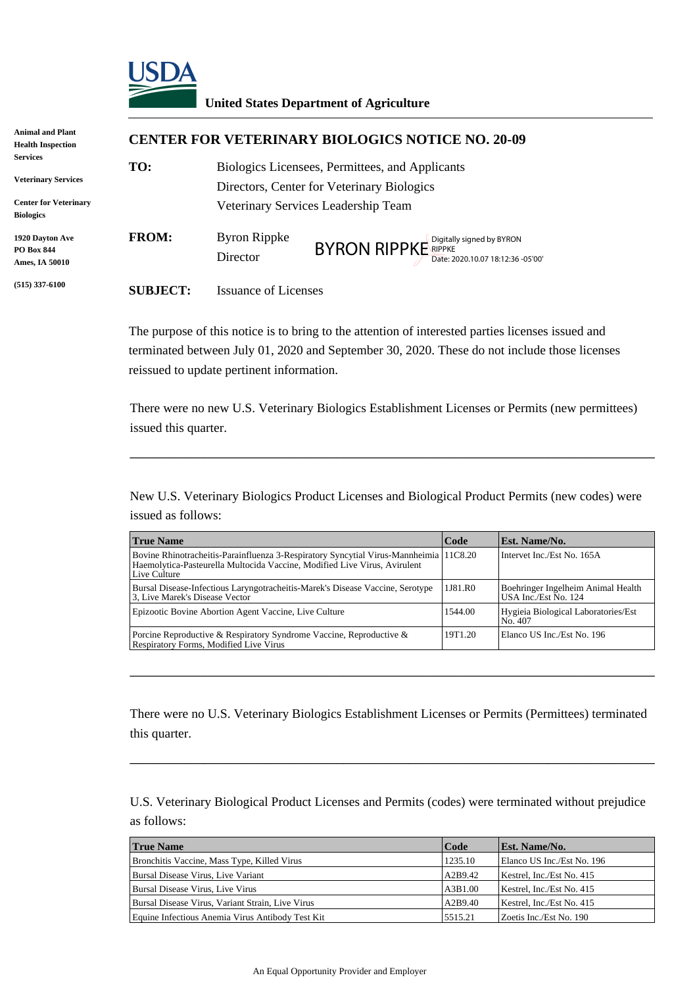

## **United States Department of Agriculture**

| Animal and Plant<br><b>Health Inspection</b>           |                 | <b>CENTER FOR VETERINARY BIOLOGICS NOTICE NO. 20-09</b>                                       |                                                          |  |  |
|--------------------------------------------------------|-----------------|-----------------------------------------------------------------------------------------------|----------------------------------------------------------|--|--|
| Services<br><b>Veterinary Services</b>                 | TO:             | Biologics Licensees, Permittees, and Applicants<br>Directors, Center for Veterinary Biologics |                                                          |  |  |
| <b>Center for Veterinary</b><br><b>Biologics</b>       |                 | Veterinary Services Leadership Team                                                           |                                                          |  |  |
| 1920 Davton Ave<br><b>PO Box 844</b><br>Ames, IA 50010 | <b>FROM:</b>    | <b>Byron Rippke</b><br>Director                                                               | BYRON RIPPKE RIPPKE<br>Date: 2020.10.07 18:12:36 -05'00' |  |  |
| $(515)$ 337-6100                                       | <b>SUBJECT:</b> | <b>Issuance of Licenses</b>                                                                   |                                                          |  |  |

|                                    | Byron Rippke<br>Director                                                                             | Digitally signed by BYRON<br><b>BYRON RIPPKE</b> RIPPKE<br>Date: 2020.10.07 18:12:36 -05'00'                                                                                                      |                    |                                                                                                                                                                                                        |  |  |
|------------------------------------|------------------------------------------------------------------------------------------------------|---------------------------------------------------------------------------------------------------------------------------------------------------------------------------------------------------|--------------------|--------------------------------------------------------------------------------------------------------------------------------------------------------------------------------------------------------|--|--|
| <b>SUBJECT:</b>                    | <b>Issuance of Licenses</b>                                                                          |                                                                                                                                                                                                   |                    |                                                                                                                                                                                                        |  |  |
|                                    | reissued to update pertinent information.                                                            | The purpose of this notice is to bring to the attention of interested parties licenses issued and<br>terminated between July 01, 2020 and September 30, 2020. These do not include those licenses |                    |                                                                                                                                                                                                        |  |  |
| issued this quarter.               |                                                                                                      |                                                                                                                                                                                                   |                    | There were no new U.S. Veterinary Biologics Establishment Licenses or Permits (new permittees)                                                                                                         |  |  |
| issued as follows:                 |                                                                                                      |                                                                                                                                                                                                   |                    | New U.S. Veterinary Biologics Product Licenses and Biological Product Permits (new codes) were                                                                                                         |  |  |
| <b>True Name</b>                   |                                                                                                      |                                                                                                                                                                                                   | Code               | Est. Name/No.                                                                                                                                                                                          |  |  |
| Live Culture                       |                                                                                                      | Bovine Rhinotracheitis-Parainfluenza 3-Respiratory Syncytial Virus-Mannheimia 11C8.20<br>Haemolytica-Pasteurella Multocida Vaccine, Modified Live Virus, Avirulent                                |                    | Intervet Inc./Est No. 165A                                                                                                                                                                             |  |  |
| 3, Live Marek's Disease Vector     |                                                                                                      | Bursal Disease-Infectious Laryngotracheitis-Marek's Disease Vaccine, Serotype                                                                                                                     | 1J81.R0            | Boehringer Ingelheim Animal Health<br>USA Inc./Est No. 124                                                                                                                                             |  |  |
|                                    | Epizootic Bovine Abortion Agent Vaccine, Live Culture                                                |                                                                                                                                                                                                   | 1544.00            | Hygieia Biological Laboratories/Est<br>No. 407                                                                                                                                                         |  |  |
|                                    | Respiratory Forms, Modified Live Virus                                                               | Porcine Reproductive & Respiratory Syndrome Vaccine, Reproductive &                                                                                                                               | 19T1.20            | Elanco US Inc./Est No. 196                                                                                                                                                                             |  |  |
| this quarter.<br>as follows:       |                                                                                                      |                                                                                                                                                                                                   |                    | There were no U.S. Veterinary Biologics Establishment Licenses or Permits (Permittees) terminated<br>U.S. Veterinary Biological Product Licenses and Permits (codes) were terminated without prejudice |  |  |
| <b>True Name</b>                   |                                                                                                      |                                                                                                                                                                                                   | Code               | Est. Name/No.                                                                                                                                                                                          |  |  |
|                                    | Bronchitis Vaccine, Mass Type, Killed Virus                                                          |                                                                                                                                                                                                   | 1235.10            | Elanco US Inc./Est No. 196                                                                                                                                                                             |  |  |
|                                    |                                                                                                      |                                                                                                                                                                                                   | A2B9.42            |                                                                                                                                                                                                        |  |  |
| Bursal Disease Virus, Live Variant |                                                                                                      |                                                                                                                                                                                                   |                    | Kestrel, Inc./Est No. 415                                                                                                                                                                              |  |  |
| Bursal Disease Virus, Live Virus   |                                                                                                      |                                                                                                                                                                                                   | A3B1.00            | Kestrel, Inc./Est No. 415                                                                                                                                                                              |  |  |
|                                    | Bursal Disease Virus, Variant Strain, Live Virus<br>Equine Infectious Anemia Virus Antibody Test Kit |                                                                                                                                                                                                   | A2B9.40<br>5515.21 | Kestrel, Inc./Est No. 415<br>Zoetis Inc./Est No. 190                                                                                                                                                   |  |  |

| <b>True Name</b>                                 | Code    | <b>Est. Name/No.</b>       |
|--------------------------------------------------|---------|----------------------------|
| Bronchitis Vaccine, Mass Type, Killed Virus      | 1235.10 | Elanco US Inc./Est No. 196 |
| Bursal Disease Virus, Live Variant               | A2B9.42 | Kestrel, Inc./Est No. 415  |
| Bursal Disease Virus, Live Virus                 | A3B1.00 | Kestrel, Inc./Est No. 415  |
| Bursal Disease Virus, Variant Strain, Live Virus | A2B9.40 | Kestrel, Inc./Est No. 415  |
| Equine Infectious Anemia Virus Antibody Test Kit | 5515.21 | Zoetis Inc./Est No. 190    |